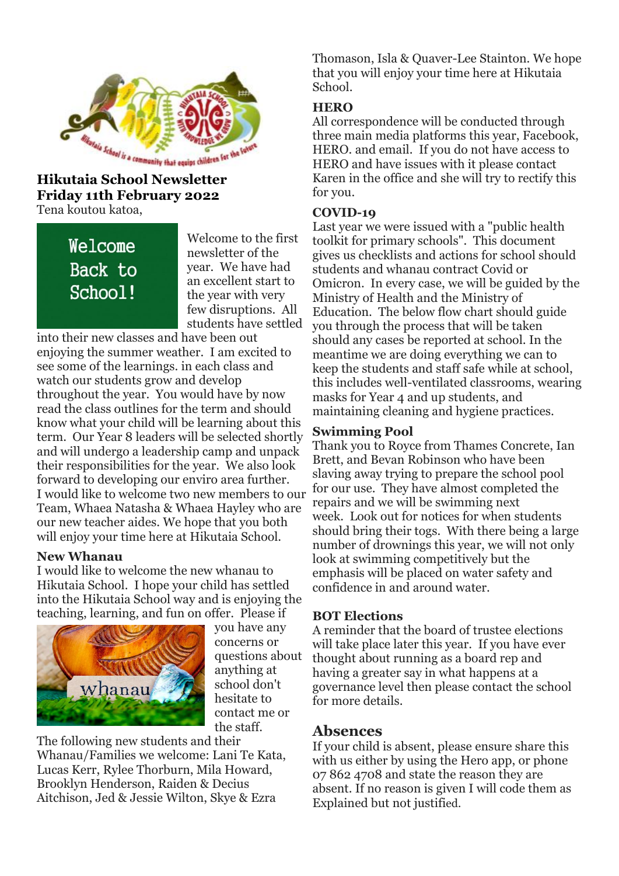

# **Friday 11th February 2022** Tena koutou katoa,

Welcome Back to School!

Welcome to the first newsletter of the year. We have had an excellent start to the year with very few disruptions. All students have settled

into their new classes and have been out enjoying the summer weather. I am excited to see some of the learnings. in each class and watch our students grow and develop throughout the year. You would have by now read the class outlines for the term and should know what your child will be learning about this term. Our Year 8 leaders will be selected shortly and will undergo a leadership camp and unpack their responsibilities for the year. We also look forward to developing our enviro area further. I would like to welcome two new members to our Team, Whaea Natasha & Whaea Hayley who are our new teacher aides. We hope that you both will enjoy your time here at Hikutaia School.

#### **New Whanau**

I would like to welcome the new whanau to Hikutaia School. I hope your child has settled into the Hikutaia School way and is enjoying the teaching, learning, and fun on offer. Please if



you have any concerns or questions about anything at school don't hesitate to contact me or the staff.

The following new students and their Whanau/Families we welcome: Lani Te Kata, Lucas Kerr, Rylee Thorburn, Mila Howard, Brooklyn Henderson, Raiden & Decius Aitchison, Jed & Jessie Wilton, Skye & Ezra

Thomason, Isla & Quaver-Lee Stainton. We hope that you will enjoy your time here at Hikutaia School.

### **HERO**

All correspondence will be conducted through three main media platforms this year, Facebook, HERO. and email. If you do not have access to HERO and have issues with it please contact Karen in the office and she will try to rectify this for you.

### **COVID-19**

Last year we were issued with a "public health toolkit for primary schools". This document gives us checklists and actions for school should students and whanau contract Covid or Omicron. In every case, we will be guided by the Ministry of Health and the Ministry of Education. The below flow chart should guide you through the process that will be taken should any cases be reported at school. In the meantime we are doing everything we can to keep the students and staff safe while at school, this includes well-ventilated classrooms, wearing masks for Year 4 and up students, and maintaining cleaning and hygiene practices.

### **Swimming Pool**

Thank you to Royce from Thames Concrete, Ian Brett, and Bevan Robinson who have been slaving away trying to prepare the school pool for our use. They have almost completed the repairs and we will be swimming next week. Look out for notices for when students should bring their togs. With there being a large number of drownings this year, we will not only look at swimming competitively but the emphasis will be placed on water safety and confidence in and around water.

### **BOT Elections**

A reminder that the board of trustee elections will take place later this year. If you have ever thought about running as a board rep and having a greater say in what happens at a governance level then please contact the school for more details.

## **Absences**

If your child is absent, please ensure share this with us either by using the Hero app, or phone 07 862 4708 and state the reason they are absent. If no reason is given I will code them as Explained but not justified.